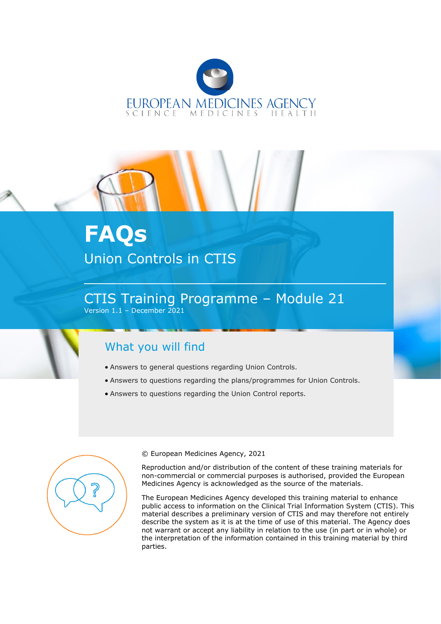



# **FAQs** Union Controls in CTIS

CTIS Training Programme – Module 21 Version 1.1 – December 2021

# What you will find

- Answers to general questions regarding Union Controls.
- Answers to questions regarding the plans/programmes for Union Controls.
- Answers to questions regarding the Union Control reports.



© European Medicines Agency, 2021

Reproduction and/or distribution of the content of these training materials for non-commercial or commercial purposes is authorised, provided the European Medicines Agency is acknowledged as the source of the materials.

The European Medicines Agency developed this training material to enhance public access to information on the Clinical Trial Information System (CTIS). This material describes a preliminary version of CTIS and may therefore not entirely describe the system as it is at the time of use of this material. The Agency does not warrant or accept any liability in relation to the use (in part or in whole) or the interpretation of the information contained in this training material by third parties.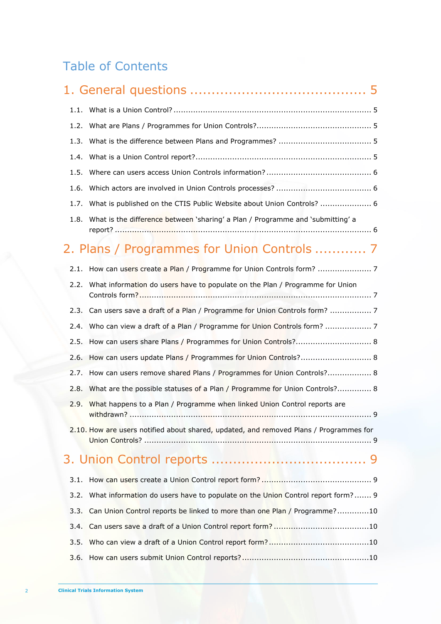# Table of Contents

| 1.2. |                                                                                        |
|------|----------------------------------------------------------------------------------------|
| 1.3. |                                                                                        |
| 1.4. |                                                                                        |
| 1.5. |                                                                                        |
| 1.6. |                                                                                        |
| 1.7. | What is published on the CTIS Public Website about Union Controls?  6                  |
| 1.8. | What is the difference between 'sharing' a Plan / Programme and 'submitting' a         |
|      | 2. Plans / Programmes for Union Controls  7                                            |
| 2.1. |                                                                                        |
| 2.2. | What information do users have to populate on the Plan / Programme for Union           |
|      | 2.3. Can users save a draft of a Plan / Programme for Union Controls form?  7          |
| 2.4. |                                                                                        |
|      | 2.5. How can users share Plans / Programmes for Union Controls? 8                      |
|      | 2.6. How can users update Plans / Programmes for Union Controls? 8                     |
|      | 2.7. How can users remove shared Plans / Programmes for Union Controls? 8              |
| 2.8. | What are the possible statuses of a Plan / Programme for Union Controls? 8             |
| 2.9. | What happens to a Plan / Programme when linked Union Control reports are<br>. 9        |
|      | 2.10. How are users notified about shared, updated, and removed Plans / Programmes for |
|      |                                                                                        |
| 3.1. |                                                                                        |
| 3.2. | What information do users have to populate on the Union Control report form? 9         |
| 3.3. | Can Union Control reports be linked to more than one Plan / Programme?10               |
| 3.4. |                                                                                        |
| 3.5. |                                                                                        |
| 3.6. |                                                                                        |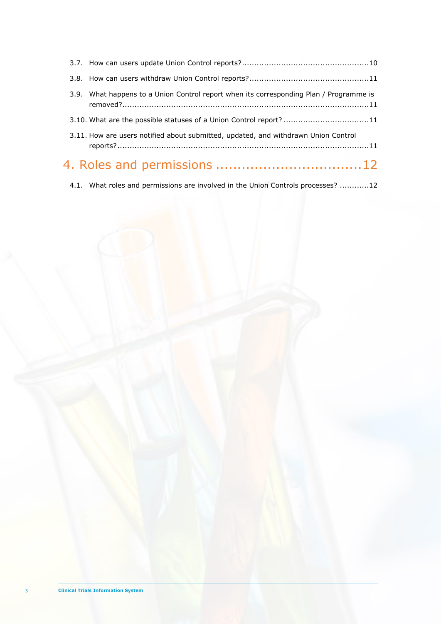| 3.9. What happens to a Union Control report when its corresponding Plan / Programme is |  |
|----------------------------------------------------------------------------------------|--|
| 3.10. What are the possible statuses of a Union Control report? 11                     |  |
| 3.11. How are users notified about submitted, updated, and withdrawn Union Control     |  |
|                                                                                        |  |
|                                                                                        |  |

4.1. [What roles and permissions are involved in the Union Controls processes?](#page-11-1) ............12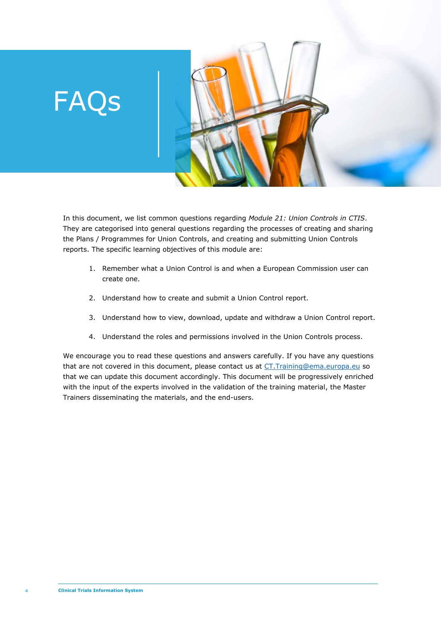# FAQs



In this document, we list common questions regarding *Module 21: Union Controls in CTIS*. They are categorised into general questions regarding the processes of creating and sharing the Plans / Programmes for Union Controls, and creating and submitting Union Controls reports. The specific learning objectives of this module are:

- 1. Remember what a Union Control is and when a European Commission user can create one.
- 2. Understand how to create and submit a Union Control report.
- 3. Understand how to view, download, update and withdraw a Union Control report.
- 4. Understand the roles and permissions involved in the Union Controls process.

We encourage you to read these questions and answers carefully. If you have any questions that are not covered in this document, please contact us at CT. Training@ema.europa.eu so that we can update this document accordingly. This document will be progressively enriched with the input of the experts involved in the validation of the training material, the Master Trainers disseminating the materials, and the end-users.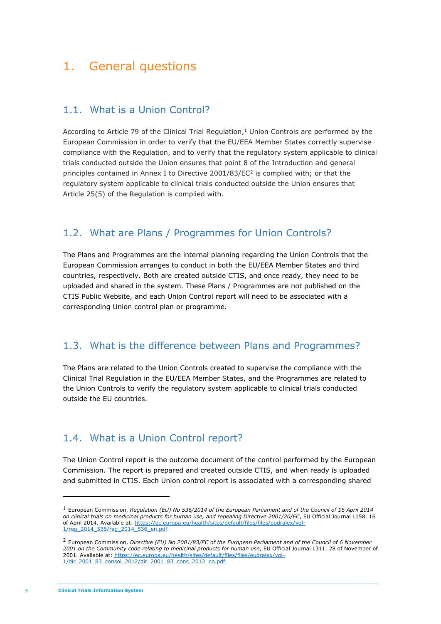# <span id="page-4-1"></span><span id="page-4-0"></span>1. General questions

#### 1.1. What is a Union Control?

According to Article 79 of the Clinical Trial Regulation, $1$  Union Controls are performed by the European Commission in order to verify that the EU/EEA Member States correctly supervise compliance with the Regulation, and to verify that the regulatory system applicable to clinical trials conducted outside the Union ensures that point 8 of the Introduction and general principles contained in Annex I to Directive  $2001/83/EC<sup>2</sup>$  is complied with; or that the regulatory system applicable to clinical trials conducted outside the Union ensures that Article 25(5) of the Regulation is complied with.

#### <span id="page-4-2"></span>1.2. What are Plans / Programmes for Union Controls?

The Plans and Programmes are the internal planning regarding the Union Controls that the European Commission arranges to conduct in both the EU/EEA Member States and third countries, respectively. Both are created outside CTIS, and once ready, they need to be uploaded and shared in the system. These Plans / Programmes are not published on the CTIS Public Website, and each Union Control report will need to be associated with a corresponding Union control plan or programme.

#### <span id="page-4-3"></span>1.3. What is the difference between Plans and Programmes?

The Plans are related to the Union Controls created to supervise the compliance with the Clinical Trial Regulation in the EU/EEA Member States, and the Programmes are related to the Union Controls to verify the regulatory system applicable to clinical trials conducted outside the EU countries.

#### <span id="page-4-4"></span>1.4. What is a Union Control report?

The Union Control report is the outcome document of the control performed by the European Commission. The report is prepared and created outside CTIS, and when ready is uploaded and submitted in CTIS. Each Union control report is associated with a corresponding shared

<sup>1</sup> European Commission, *Regulation (EU) No 536/2014 of the European Parliament and of the Council of 16 April 2014 on clinical trials on medicinal products for human use, and repealing Directive 2001/20/EC*, EU Official Journal L158. 16 of April 2014. Available at: [https://ec.europa.eu/health/sites/default/files/files/eudralex/vol-](https://ec.europa.eu/health/sites/default/files/files/eudralex/vol-1/reg_2014_536/reg_2014_536_en.pdf)[1/reg\\_2014\\_536/reg\\_2014\\_536\\_en.pdf](https://ec.europa.eu/health/sites/default/files/files/eudralex/vol-1/reg_2014_536/reg_2014_536_en.pdf)

<sup>2</sup> European Commission, *Directive (EU) No 2001/83/EC of the European Parliament and of the Council of 6 November 2001 on the Community code relating to medicinal products for human use*, EU Official Journal L311. 28 of November of 2001. Available at: [https://ec.europa.eu/health/sites/default/files/files/eudralex/vol-](https://ec.europa.eu/health/sites/default/files/files/eudralex/vol-1/dir_2001_83_consol_2012/dir_2001_83_cons_2012_en.pdf)[1/dir\\_2001\\_83\\_consol\\_2012/dir\\_2001\\_83\\_cons\\_2012\\_en.pdf](https://ec.europa.eu/health/sites/default/files/files/eudralex/vol-1/dir_2001_83_consol_2012/dir_2001_83_cons_2012_en.pdf)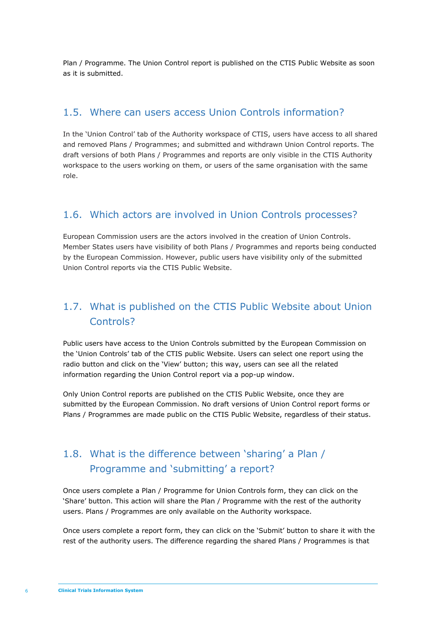Plan / Programme. The Union Control report is published on the CTIS Public Website as soon as it is submitted.

#### <span id="page-5-0"></span>1.5. Where can users access Union Controls information?

In the 'Union Control' tab of the Authority workspace of CTIS, users have access to all shared and removed Plans / Programmes; and submitted and withdrawn Union Control reports. The draft versions of both Plans / Programmes and reports are only visible in the CTIS Authority workspace to the users working on them, or users of the same organisation with the same role.

#### <span id="page-5-1"></span>1.6. Which actors are involved in Union Controls processes?

European Commission users are the actors involved in the creation of Union Controls. Member States users have visibility of both Plans / Programmes and reports being conducted by the European Commission. However, public users have visibility only of the submitted Union Control reports via the CTIS Public Website.

### <span id="page-5-2"></span>1.7. What is published on the CTIS Public Website about Union Controls?

Public users have access to the Union Controls submitted by the European Commission on the 'Union Controls' tab of the CTIS public Website. Users can select one report using the radio button and click on the 'View' button; this way, users can see all the related information regarding the Union Control report via a pop-up window.

Only Union Control reports are published on the CTIS Public Website, once they are submitted by the European Commission. No draft versions of Union Control report forms or Plans / Programmes are made public on the CTIS Public Website, regardless of their status.

# <span id="page-5-3"></span>1.8. What is the difference between 'sharing' a Plan / Programme and 'submitting' a report?

Once users complete a Plan / Programme for Union Controls form, they can click on the 'Share' button. This action will share the Plan / Programme with the rest of the authority users. Plans / Programmes are only available on the Authority workspace.

Once users complete a report form, they can click on the 'Submit' button to share it with the rest of the authority users. The difference regarding the shared Plans / Programmes is that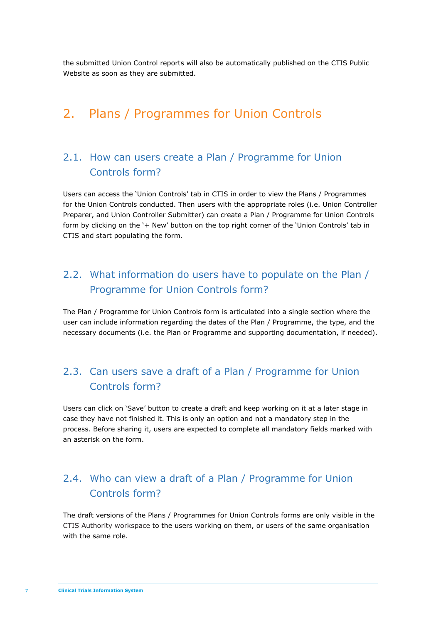the submitted Union Control reports will also be automatically published on the CTIS Public Website as soon as they are submitted.

# <span id="page-6-1"></span><span id="page-6-0"></span>2. Plans / Programmes for Union Controls

#### 2.1. How can users create a Plan / Programme for Union Controls form?

Users can access the 'Union Controls' tab in CTIS in order to view the Plans / Programmes for the Union Controls conducted. Then users with the appropriate roles (i.e. Union Controller Preparer, and Union Controller Submitter) can create a Plan / Programme for Union Controls form by clicking on the '+ New' button on the top right corner of the 'Union Controls' tab in CTIS and start populating the form.

### <span id="page-6-2"></span>2.2. What information do users have to populate on the Plan / Programme for Union Controls form?

The Plan / Programme for Union Controls form is articulated into a single section where the user can include information regarding the dates of the Plan / Programme, the type, and the necessary documents (i.e. the Plan or Programme and supporting documentation, if needed).

#### <span id="page-6-3"></span>2.3. Can users save a draft of a Plan / Programme for Union Controls form?

Users can click on 'Save' button to create a draft and keep working on it at a later stage in case they have not finished it. This is only an option and not a mandatory step in the process. Before sharing it, users are expected to complete all mandatory fields marked with an asterisk on the form.

### <span id="page-6-4"></span>2.4. Who can view a draft of a Plan / Programme for Union Controls form?

The draft versions of the Plans / Programmes for Union Controls forms are only visible in the CTIS Authority workspace to the users working on them, or users of the same organisation with the same role.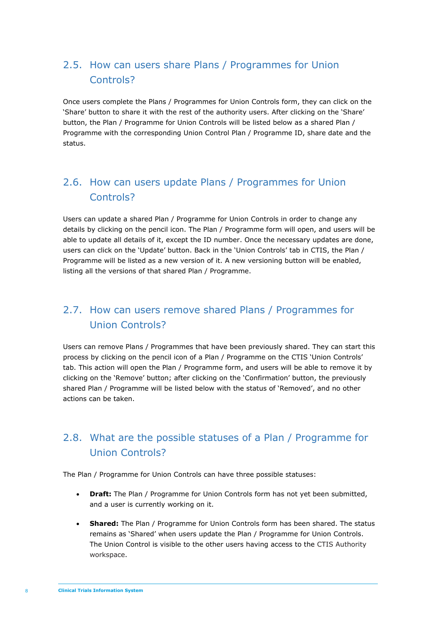# <span id="page-7-0"></span>2.5. How can users share Plans / Programmes for Union Controls?

Once users complete the Plans / Programmes for Union Controls form, they can click on the 'Share' button to share it with the rest of the authority users. After clicking on the 'Share' button, the Plan / Programme for Union Controls will be listed below as a shared Plan / Programme with the corresponding Union Control Plan / Programme ID, share date and the status.

### <span id="page-7-1"></span>2.6. How can users update Plans / Programmes for Union Controls?

Users can update a shared Plan / Programme for Union Controls in order to change any details by clicking on the pencil icon. The Plan / Programme form will open, and users will be able to update all details of it, except the ID number. Once the necessary updates are done, users can click on the 'Update' button. Back in the 'Union Controls' tab in CTIS, the Plan / Programme will be listed as a new version of it. A new versioning button will be enabled, listing all the versions of that shared Plan / Programme.

# <span id="page-7-2"></span>2.7. How can users remove shared Plans / Programmes for Union Controls?

Users can remove Plans / Programmes that have been previously shared. They can start this process by clicking on the pencil icon of a Plan / Programme on the CTIS 'Union Controls' tab. This action will open the Plan / Programme form, and users will be able to remove it by clicking on the 'Remove' button; after clicking on the 'Confirmation' button, the previously shared Plan / Programme will be listed below with the status of 'Removed', and no other actions can be taken.

# <span id="page-7-3"></span>2.8. What are the possible statuses of a Plan / Programme for Union Controls?

The Plan / Programme for Union Controls can have three possible statuses:

- **Draft:** The Plan / Programme for Union Controls form has not yet been submitted, and a user is currently working on it.
- **Shared:** The Plan / Programme for Union Controls form has been shared. The status remains as 'Shared' when users update the Plan / Programme for Union Controls. The Union Control is visible to the other users having access to the CTIS Authority workspace.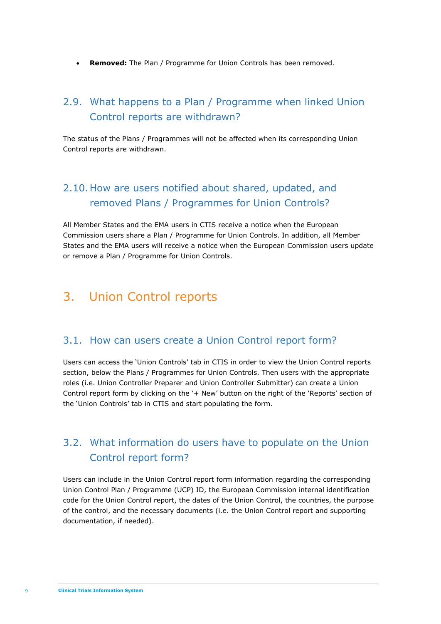• **Removed:** The Plan / Programme for Union Controls has been removed.

#### <span id="page-8-0"></span>2.9. What happens to a Plan / Programme when linked Union Control reports are withdrawn?

The status of the Plans / Programmes will not be affected when its corresponding Union Control reports are withdrawn.

# <span id="page-8-1"></span>2.10.How are users notified about shared, updated, and removed Plans / Programmes for Union Controls?

All Member States and the EMA users in CTIS receive a notice when the European Commission users share a Plan / Programme for Union Controls. In addition, all Member States and the EMA users will receive a notice when the European Commission users update or remove a Plan / Programme for Union Controls.

# <span id="page-8-3"></span><span id="page-8-2"></span>3. Union Control reports

#### 3.1. How can users create a Union Control report form?

Users can access the 'Union Controls' tab in CTIS in order to view the Union Control reports section, below the Plans / Programmes for Union Controls. Then users with the appropriate roles (i.e. Union Controller Preparer and Union Controller Submitter) can create a Union Control report form by clicking on the '+ New' button on the right of the 'Reports' section of the 'Union Controls' tab in CTIS and start populating the form.

### <span id="page-8-4"></span>3.2. What information do users have to populate on the Union Control report form?

Users can include in the Union Control report form information regarding the corresponding Union Control Plan / Programme (UCP) ID, the European Commission internal identification code for the Union Control report, the dates of the Union Control, the countries, the purpose of the control, and the necessary documents (i.e. the Union Control report and supporting documentation, if needed).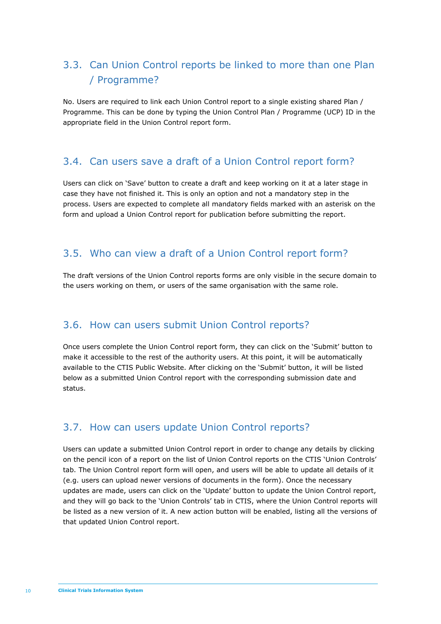# <span id="page-9-0"></span>3.3. Can Union Control reports be linked to more than one Plan / Programme?

No. Users are required to link each Union Control report to a single existing shared Plan / Programme. This can be done by typing the Union Control Plan / Programme (UCP) ID in the appropriate field in the Union Control report form.

#### <span id="page-9-1"></span>3.4. Can users save a draft of a Union Control report form?

Users can click on 'Save' button to create a draft and keep working on it at a later stage in case they have not finished it. This is only an option and not a mandatory step in the process. Users are expected to complete all mandatory fields marked with an asterisk on the form and upload a Union Control report for publication before submitting the report.

#### <span id="page-9-2"></span>3.5. Who can view a draft of a Union Control report form?

The draft versions of the Union Control reports forms are only visible in the secure domain to the users working on them, or users of the same organisation with the same role.

#### <span id="page-9-3"></span>3.6. How can users submit Union Control reports?

Once users complete the Union Control report form, they can click on the 'Submit' button to make it accessible to the rest of the authority users. At this point, it will be automatically available to the CTIS Public Website. After clicking on the 'Submit' button, it will be listed below as a submitted Union Control report with the corresponding submission date and status.

#### <span id="page-9-4"></span>3.7. How can users update Union Control reports?

Users can update a submitted Union Control report in order to change any details by clicking on the pencil icon of a report on the list of Union Control reports on the CTIS 'Union Controls' tab. The Union Control report form will open, and users will be able to update all details of it (e.g. users can upload newer versions of documents in the form). Once the necessary updates are made, users can click on the 'Update' button to update the Union Control report, and they will go back to the 'Union Controls' tab in CTIS, where the Union Control reports will be listed as a new version of it. A new action button will be enabled, listing all the versions of that updated Union Control report.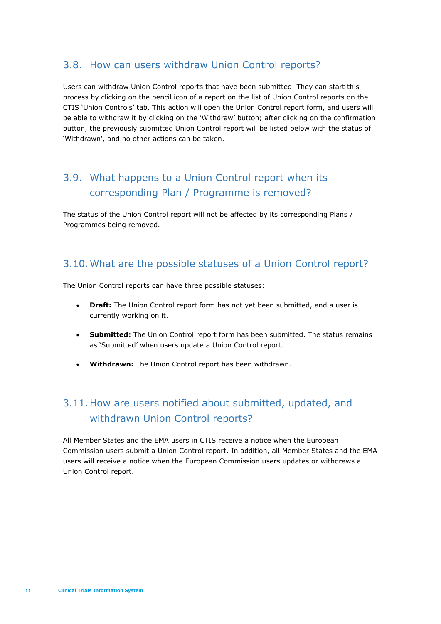#### <span id="page-10-0"></span>3.8. How can users withdraw Union Control reports?

Users can withdraw Union Control reports that have been submitted. They can start this process by clicking on the pencil icon of a report on the list of Union Control reports on the CTIS 'Union Controls' tab. This action will open the Union Control report form, and users will be able to withdraw it by clicking on the 'Withdraw' button; after clicking on the confirmation button, the previously submitted Union Control report will be listed below with the status of 'Withdrawn', and no other actions can be taken.

# <span id="page-10-1"></span>3.9. What happens to a Union Control report when its corresponding Plan / Programme is removed?

The status of the Union Control report will not be affected by its corresponding Plans / Programmes being removed.

#### <span id="page-10-2"></span>3.10.What are the possible statuses of a Union Control report?

The Union Control reports can have three possible statuses:

- **Draft:** The Union Control report form has not yet been submitted, and a user is currently working on it.
- **Submitted:** The Union Control report form has been submitted. The status remains as 'Submitted' when users update a Union Control report.
- **Withdrawn:** The Union Control report has been withdrawn.

# <span id="page-10-3"></span>3.11.How are users notified about submitted, updated, and withdrawn Union Control reports?

All Member States and the EMA users in CTIS receive a notice when the European Commission users submit a Union Control report. In addition, all Member States and the EMA users will receive a notice when the European Commission users updates or withdraws a Union Control report.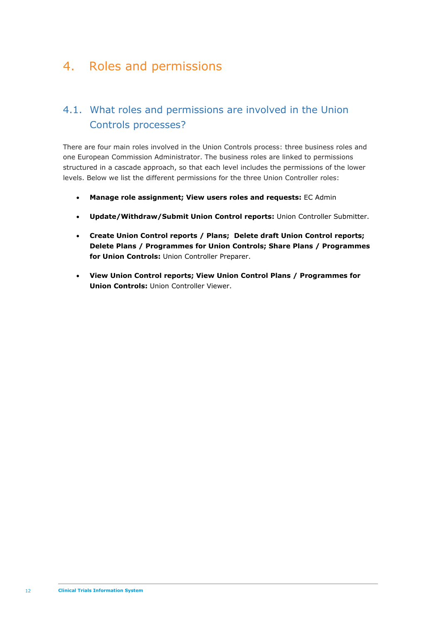# <span id="page-11-0"></span>4. Roles and permissions

# <span id="page-11-1"></span>4.1. What roles and permissions are involved in the Union Controls processes?

There are four main roles involved in the Union Controls process: three business roles and one European Commission Administrator. The business roles are linked to permissions structured in a cascade approach, so that each level includes the permissions of the lower levels. Below we list the different permissions for the three Union Controller roles:

- **Manage role assignment; View users roles and requests:** EC Admin
- **Update/Withdraw/Submit Union Control reports:** Union Controller Submitter.
- **Create Union Control reports / Plans; Delete draft Union Control reports; Delete Plans / Programmes for Union Controls; Share Plans / Programmes for Union Controls:** Union Controller Preparer.
- **View Union Control reports; View Union Control Plans / Programmes for Union Controls:** Union Controller Viewer.